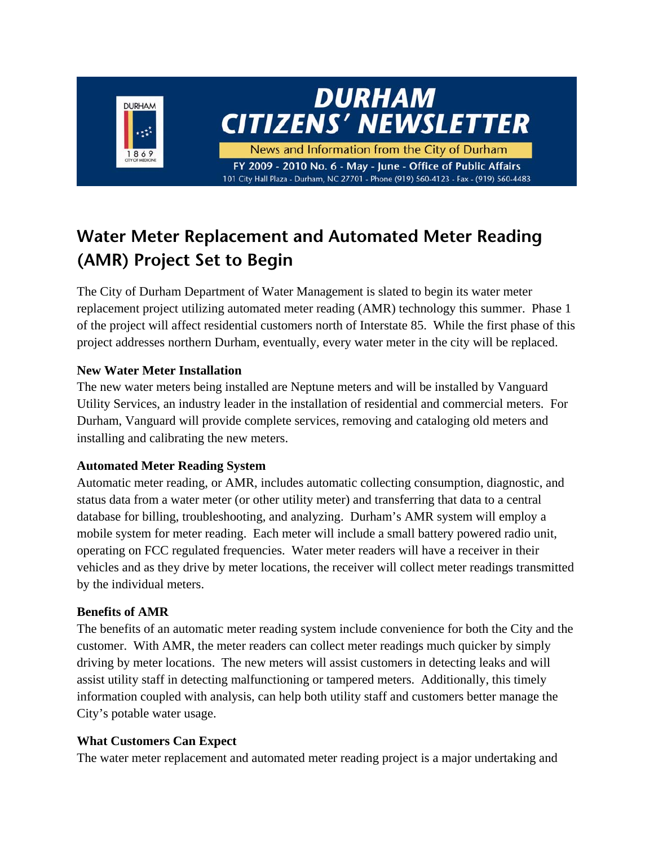

# **Water Meter Replacement and Automated Meter Reading (AMR) Project Set to Begin**

The City of Durham Department of Water Management is slated to begin its water meter replacement project utilizing automated meter reading (AMR) technology this summer. Phase 1 of the project will affect residential customers north of Interstate 85. While the first phase of this project addresses northern Durham, eventually, every water meter in the city will be replaced.

#### **New Water Meter Installation**

The new water meters being installed are Neptune meters and will be installed by Vanguard Utility Services, an industry leader in the installation of residential and commercial meters. For Durham, Vanguard will provide complete services, removing and cataloging old meters and installing and calibrating the new meters.

#### **Automated Meter Reading System**

Automatic meter reading, or AMR, includes automatic collecting consumption, diagnostic, and status data from a water meter (or other utility meter) and transferring that data to a central database for billing, troubleshooting, and analyzing. Durham's AMR system will employ a mobile system for meter reading. Each meter will include a small battery powered radio unit, operating on FCC regulated frequencies. Water meter readers will have a receiver in their vehicles and as they drive by meter locations, the receiver will collect meter readings transmitted by the individual meters.

#### **Benefits of AMR**

The benefits of an automatic meter reading system include convenience for both the City and the customer. With AMR, the meter readers can collect meter readings much quicker by simply driving by meter locations. The new meters will assist customers in detecting leaks and will assist utility staff in detecting malfunctioning or tampered meters. Additionally, this timely information coupled with analysis, can help both utility staff and customers better manage the City's potable water usage.

#### **What Customers Can Expect**

The water meter replacement and automated meter reading project is a major undertaking and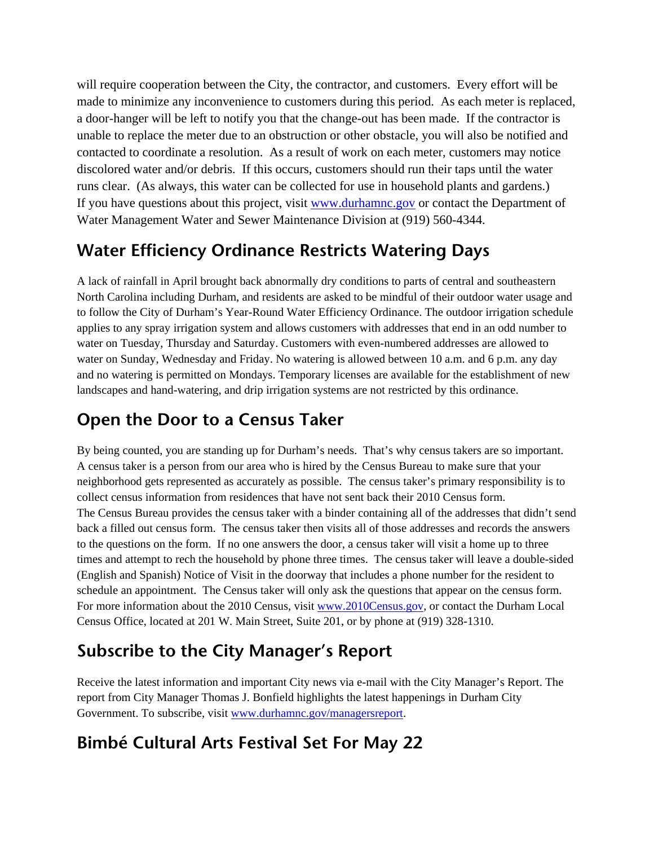will require cooperation between the City, the contractor, and customers. Every effort will be made to minimize any inconvenience to customers during this period. As each meter is replaced, a door-hanger will be left to notify you that the change-out has been made. If the contractor is unable to replace the meter due to an obstruction or other obstacle, you will also be notified and contacted to coordinate a resolution. As a result of work on each meter, customers may notice discolored water and/or debris. If this occurs, customers should run their taps until the water runs clear. (As always, this water can be collected for use in household plants and gardens.) If you have questions about this project, visit www.durhamnc.gov or contact the Department of Water Management Water and Sewer Maintenance Division at (919) 560-4344.

#### **Water Efficiency Ordinance Restricts Watering Days**

A lack of rainfall in April brought back abnormally dry conditions to parts of central and southeastern North Carolina including Durham, and residents are asked to be mindful of their outdoor water usage and to follow the City of Durham's Year-Round Water Efficiency Ordinance. The outdoor irrigation schedule applies to any spray irrigation system and allows customers with addresses that end in an odd number to water on Tuesday, Thursday and Saturday. Customers with even-numbered addresses are allowed to water on Sunday, Wednesday and Friday. No watering is allowed between 10 a.m. and 6 p.m. any day and no watering is permitted on Mondays. Temporary licenses are available for the establishment of new landscapes and hand-watering, and drip irrigation systems are not restricted by this ordinance.

## **Open the Door to a Census Taker**

By being counted, you are standing up for Durham's needs. That's why census takers are so important. A census taker is a person from our area who is hired by the Census Bureau to make sure that your neighborhood gets represented as accurately as possible. The census taker's primary responsibility is to collect census information from residences that have not sent back their 2010 Census form. The Census Bureau provides the census taker with a binder containing all of the addresses that didn't send back a filled out census form. The census taker then visits all of those addresses and records the answers to the questions on the form. If no one answers the door, a census taker will visit a home up to three times and attempt to rech the household by phone three times. The census taker will leave a double-sided (English and Spanish) Notice of Visit in the doorway that includes a phone number for the resident to schedule an appointment. The Census taker will only ask the questions that appear on the census form. For more information about the 2010 Census, visit www.2010Census.gov, or contact the Durham Local Census Office, located at 201 W. Main Street, Suite 201, or by phone at (919) 328-1310.

## **Subscribe to the City Manager's Report**

Receive the latest information and important City news via e-mail with the City Manager's Report. The report from City Manager Thomas J. Bonfield highlights the latest happenings in Durham City Government. To subscribe, visit www.durhamnc.gov/managersreport.

## **Bimbé Cultural Arts Festival Set For May 22**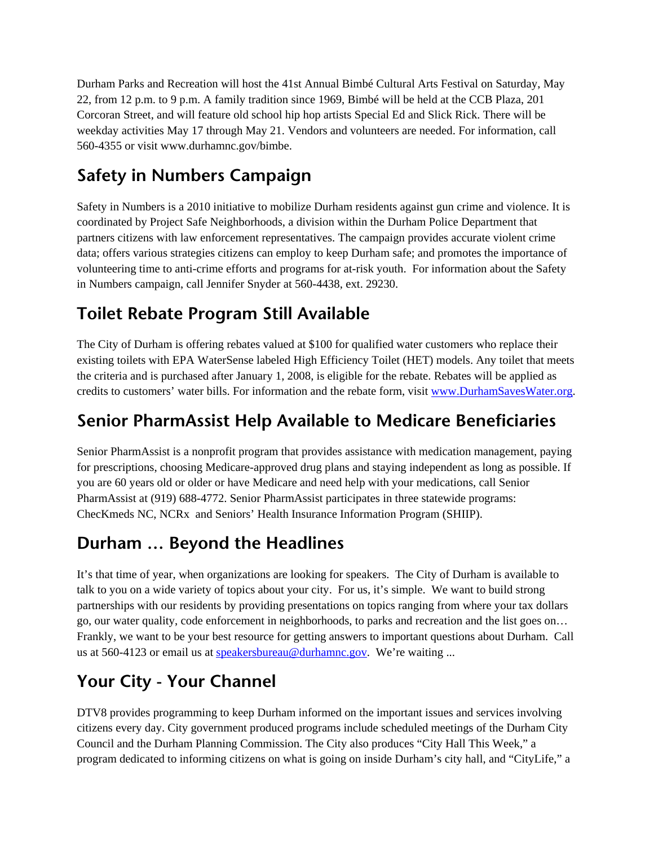Durham Parks and Recreation will host the 41st Annual Bimbé Cultural Arts Festival on Saturday, May 22, from 12 p.m. to 9 p.m. A family tradition since 1969, Bimbé will be held at the CCB Plaza, 201 Corcoran Street, and will feature old school hip hop artists Special Ed and Slick Rick. There will be weekday activities May 17 through May 21. Vendors and volunteers are needed. For information, call 560-4355 or visit www.durhamnc.gov/bimbe.

# **Safety in Numbers Campaign**

Safety in Numbers is a 2010 initiative to mobilize Durham residents against gun crime and violence. It is coordinated by Project Safe Neighborhoods, a division within the Durham Police Department that partners citizens with law enforcement representatives. The campaign provides accurate violent crime data; offers various strategies citizens can employ to keep Durham safe; and promotes the importance of volunteering time to anti-crime efforts and programs for at-risk youth. For information about the Safety in Numbers campaign, call Jennifer Snyder at 560-4438, ext. 29230.

# **Toilet Rebate Program Still Available**

The City of Durham is offering rebates valued at \$100 for qualified water customers who replace their existing toilets with EPA WaterSense labeled High Efficiency Toilet (HET) models. Any toilet that meets the criteria and is purchased after January 1, 2008, is eligible for the rebate. Rebates will be applied as credits to customers' water bills. For information and the rebate form, visit www.DurhamSavesWater.org.

## **Senior PharmAssist Help Available to Medicare Beneficiaries**

Senior PharmAssist is a nonprofit program that provides assistance with medication management, paying for prescriptions, choosing Medicare-approved drug plans and staying independent as long as possible. If you are 60 years old or older or have Medicare and need help with your medications, call Senior PharmAssist at (919) 688-4772. Senior PharmAssist participates in three statewide programs: ChecKmeds NC, NCRx and Seniors' Health Insurance Information Program (SHIIP).

## **Durham … Beyond the Headlines**

It's that time of year, when organizations are looking for speakers. The City of Durham is available to talk to you on a wide variety of topics about your city. For us, it's simple. We want to build strong partnerships with our residents by providing presentations on topics ranging from where your tax dollars go, our water quality, code enforcement in neighborhoods, to parks and recreation and the list goes on… Frankly, we want to be your best resource for getting answers to important questions about Durham. Call us at 560-4123 or email us at speakersbureau@durhamnc.gov. We're waiting ...

# **Your City - Your Channel**

DTV8 provides programming to keep Durham informed on the important issues and services involving citizens every day. City government produced programs include scheduled meetings of the Durham City Council and the Durham Planning Commission. The City also produces "City Hall This Week," a program dedicated to informing citizens on what is going on inside Durham's city hall, and "CityLife," a